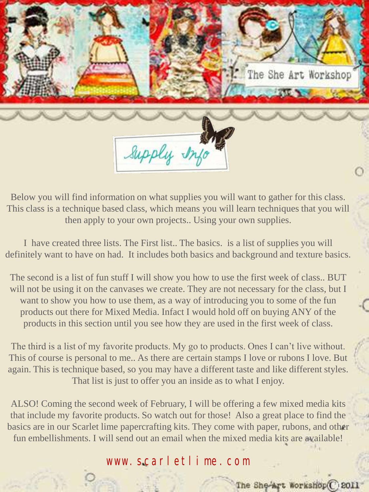

Below you will find information on what supplies you will want to gather for this class. This class is a technique based class, which means you will learn techniques that you will then apply to your own projects.. Using your own supplies.

I have created three lists. The First list.. The basics. is a list of supplies you will definitely want to have on had. It includes both basics and background and texture basics.

The second is a list of fun stuff I will show you how to use the first week of class.. BUT will not be using it on the canvases we create. They are not necessary for the class, but I want to show you how to use them, as a way of introducing you to some of the fun products out there for Mixed Media. Infact I would hold off on buying ANY of the products in this section until you see how they are used in the first week of class.

The third is a list of my favorite products. My go to products. Ones I can't live without. This of course is personal to me.. As there are certain stamps I love or rubons I love. But again. This is technique based, so you may have a different taste and like different styles. That list is just to offer you an inside as to what I enjoy.

ALSO! Coming the second week of February, I will be offering a few mixed media kits that include my favorite products. So watch out for those! Also a great place to find the basics are in our Scarlet lime papercrafting kits. They come with paper, rubons, and other fun embellishments. I will send out an email when the mixed media kits are available!

www.scarletlime.com

The She-Art Workshop C 2011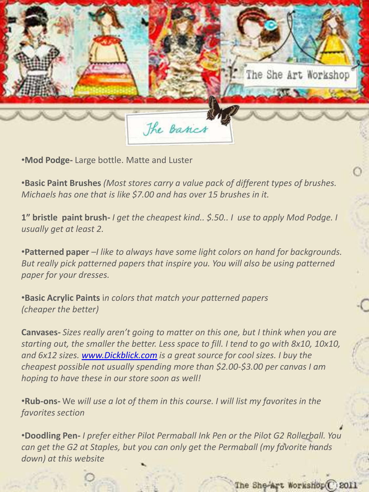

•**Mod Podge-** Large bottle. Matte and Luster

•**Basic Paint Brushes** *(Most stores carry a value pack of different types of brushes. Michaels has one that is like \$7.00 and has over 15 brushes in it.* 

**1" bristle paint brush-** *I get the cheapest kind.. \$.50.. I use to apply Mod Podge. I usually get at least 2.* 

•**Patterned paper** *–I like to always have some light colors on hand for backgrounds. But really pick patterned papers that inspire you. You will also be using patterned paper for your dresses.* 

•**Basic Acrylic Paints** i*n colors that match your patterned papers (cheaper the better)*

**Canvases-** *Sizes really aren't going to matter on this one, but I think when you are starting out, the smaller the better. Less space to fill. I tend to go with 8x10, 10x10, and 6x12 sizes. [www.Dickblick.com](http://www.dickblick.com/) is a great source for cool sizes. I buy the cheapest possible not usually spending more than \$2.00-\$3.00 per canvas I am hoping to have these in our store soon as well!* 

•**Rub-ons-** We *will use a lot of them in this course. I will list my favorites in the favorites section*

•**Doodling Pen-** *I prefer either Pilot Permaball Ink Pen or the Pilot G2 Rollerball. You can get the G2 at Staples, but you can only get the Permaball (my favorite hands down) at this website*

The She-Art Workshop C 2011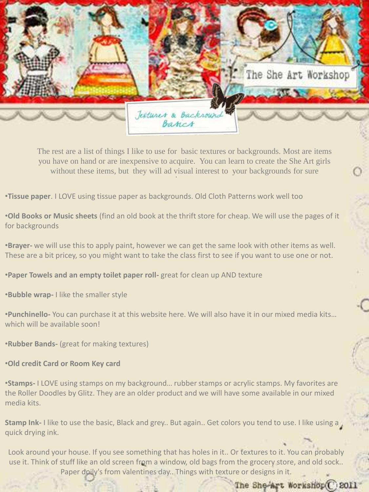

without these items, but they will ad visual interest to your backgrounds for sure The rest are a list of things I like to use for basic textures or backgrounds. Most are items you have on hand or are inexpensive to acquire. You can learn to create the She Art girls

•**Tissue paper**. I LOVE using tissue paper as backgrounds. Old Cloth Patterns work well too

•**Old Books or Music sheets** (find an old book at the thrift store for cheap. We will use the pages of it for backgrounds

•**Brayer-** we will use this to apply paint, however we can get the same look with other items as well. These are a bit pricey, so you might want to take the class first to see if you want to use one or not.

•**Paper Towels and an empty toilet paper roll-** great for clean up AND texture

•**Bubble wrap-** I like the smaller style

•**Punchinello-** You can purchase it at this website here. We will also have it in our mixed media kits… which will be available soon!

•**Rubber Bands-** (great for making textures)

•**Old credit Card or Room Key card**

•**Stamps-** I LOVE using stamps on my background… rubber stamps or acrylic stamps. My favorites are the Roller Doodles by Glitz. They are an older product and we will have some available in our mixed media kits.

**Stamp Ink-** I like to use the basic, Black and grey.. But again.. Get colors you tend to use. I like using a quick drying ink.

Look around your house. If you see something that has holes in it.. Or textures to it. You can probably use it. Think of stuff like an old screen from a window, old bags from the grocery store, and old sock.. Paper doily's from valentines day.. Things with texture or designs in it.

## The She-Art Workshop(C) 2011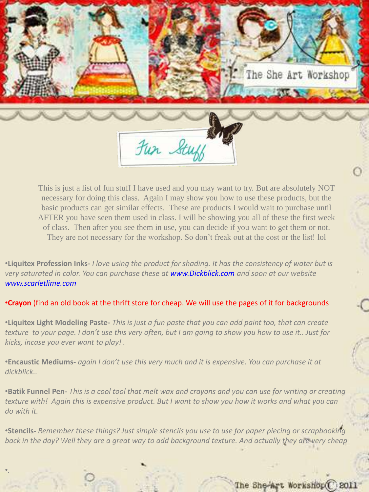

This is just a list of fun stuff I have used and you may want to try. But are absolutely NOT necessary for doing this class. Again I may show you how to use these products, but the basic products can get similar effects. These are products I would wait to purchase until AFTER you have seen them used in class. I will be showing you all of these the first week of class. Then after you see them in use, you can decide if you want to get them or not. They are not necessary for the workshop. So don't freak out at the cost or the list! lol

•**Liquitex Profession Inks-** *I love using the product for shading. It has the consistency of water but is very saturated in color. You can purchase these at [www.Dickblick.com](http://www.dickblick.com/) and soon at our website [www.scarletlime.com](http://www.scarletlime.com/)*

•**Crayon** (find an old book at the thrift store for cheap. We will use the pages of it for backgrounds

•**Liquitex Light Modeling Paste-** *This is just a fun paste that you can add paint too, that can create texture to your page. I don't use this very often, but I am going to show you how to use it.. Just for kicks, incase you ever want to play! .* 

•**Encaustic Mediums-** *again I don't use this very much and it is expensive. You can purchase it at dickblick..* 

•**Batik Funnel Pe***n- This is a cool tool that melt wax and crayons and you can use for writing or creating texture with! Again this is expensive product. But I want to show you how it works and what you can do with it.* 

•**Stencils-** *Remember these things? Just simple stencils you use to use for paper piecing or scrapbooking back in the day? Well they are a great way to add background texture. And actually they are very cheap*

•*.* 

## The She-Art Workshop C 2011